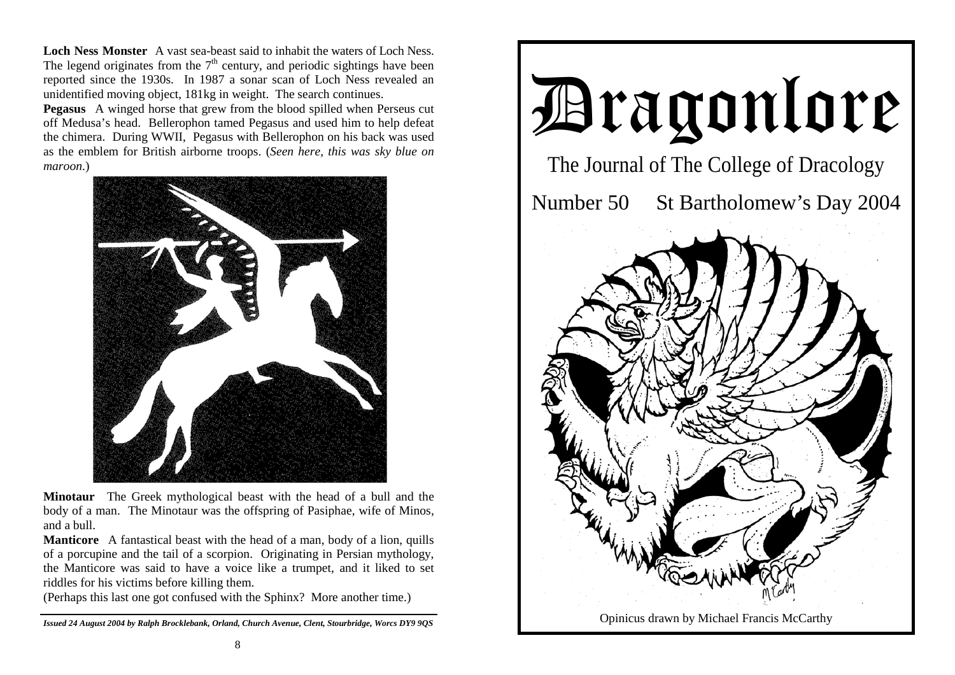**Loch Ness Monster** A vast sea-beast said to inhabit the waters of Loch Ness. The legend originates from the  $7<sup>th</sup>$  century, and periodic sightings have been reported since the 1930s. In 1987 a sonar scan of Loch Ness revealed an unidentified moving object, 181kg in weight. The search continues.

**Pegasus** A winged horse that grew from the blood spilled when Perseus cut off Medusa's head. Bellerophon tamed Pegasus and used him to help defeat the chimera. During WWII, Pegasus with Bellerophon on his back was used as the emblem for British airborne troops. (*Seen here, this was sky blue on maroon*.)



**Minotaur** The Greek mythological beast with the head of a bull and the body of a man. The Minotaur was the offspring of Pasiphae, wife of Minos, and a bull.

**Manticore** A fantastical beast with the head of a man, body of a lion, quills of a porcupine and the tail of a scorpion. Originating in Persian mythology, the Manticore was said to have a voice like a trumpet, and it liked to set riddles for his victims before killing them.

(Perhaps this last one got confused with the Sphinx? More another time.)

*Issued 24 August 2004 by Ralph Brocklebank, Orland, Church Avenue, Clent, Stourbridge, Worcs DY9 9QS*

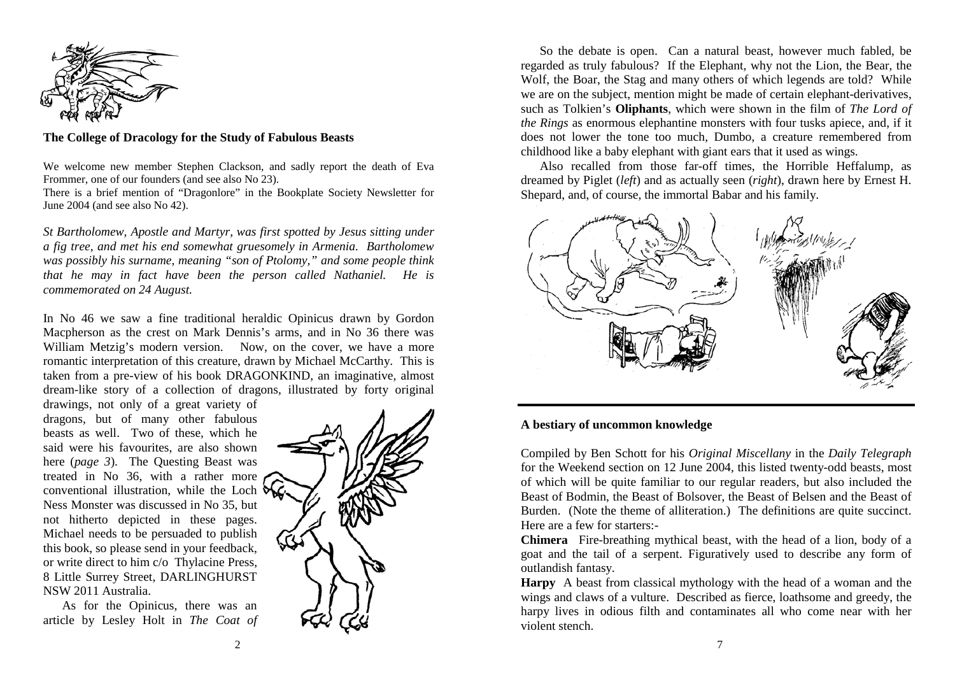

## **The College of Dracology for the Study of Fabulous Beasts**

We welcome new member Stephen Clackson, and sadly report the death of Eva Frommer, one of our founders (and see also No 23).

There is a brief mention of "Dragonlore" in the Bookplate Society Newsletter for June 2004 (and see also No 42).

*St Bartholomew, Apostle and Martyr, was first spotted by Jesus sitting under a fig tree, and met his end somewhat gruesomely in Armenia. Bartholomew was possibly his surname, meaning "son of Ptolomy," and some people think that he may in fact have been the person called Nathaniel. He is commemorated on 24 August.* 

In No 46 we saw a fine traditional heraldic Opinicus drawn by Gordon Macpherson as the crest on Mark Dennis's arms, and in No 36 there was William Metzig's modern version. Now, on the cover, we have a more romantic interpretation of this creature, drawn by Michael McCarthy. This is taken from a pre-view of his book DRAGONKIND, an imaginative, almost dream-like story of a collection of dragons, illustrated by forty original

drawings, not only of a great variety of dragons, but of many other fabulous beasts as well. Two of these, which he said were his favourites, are also shown here (*page 3*). The Questing Beast was treated in No 36, with a rather more conventional illustration, while the Loch  $\delta$ Ness Monster was discussed in No 35, but not hitherto depicted in these pages. Michael needs to be persuaded to publish this book, so please send in your feedback, or write direct to him c/o Thylacine Press, 8 Little Surrey Street, DARLINGHURST NSW 2011 Australia.

 As for the Opinicus, there was an article by Lesley Holt in *The Coat of* 



 So the debate is open. Can a natural beast, however much fabled, be regarded as truly fabulous? If the Elephant, why not the Lion, the Bear, the Wolf, the Boar, the Stag and many others of which legends are told? While we are on the subject, mention might be made of certain elephant-derivatives, such as Tolkien's **Oliphants**, which were shown in the film of *The Lord of the Rings* as enormous elephantine monsters with four tusks apiece, and, if it does not lower the tone too much, Dumbo, a creature remembered from childhood like a baby elephant with giant ears that it used as wings.

 Also recalled from those far-off times, the Horrible Heffalump, as dreamed by Piglet (*left*) and as actually seen (*right*), drawn here by Ernest H. Shepard, and, of course, the immortal Babar and his family.



## **A bestiary of uncommon knowledge**

Compiled by Ben Schott for his *Original Miscellany* in the *Daily Telegraph*  for the Weekend section on 12 June 2004, this listed twenty-odd beasts, most of which will be quite familiar to our regular readers, but also included the Beast of Bodmin, the Beast of Bolsover, the Beast of Belsen and the Beast of Burden. (Note the theme of alliteration.) The definitions are quite succinct. Here are a few for starters:-

**Chimera** Fire-breathing mythical beast, with the head of a lion, body of a goat and the tail of a serpent. Figuratively used to describe any form of outlandish fantasy.

**Harpy** A beast from classical mythology with the head of a woman and the wings and claws of a vulture. Described as fierce, loathsome and greedy, the harpy lives in odious filth and contaminates all who come near with her violent stench.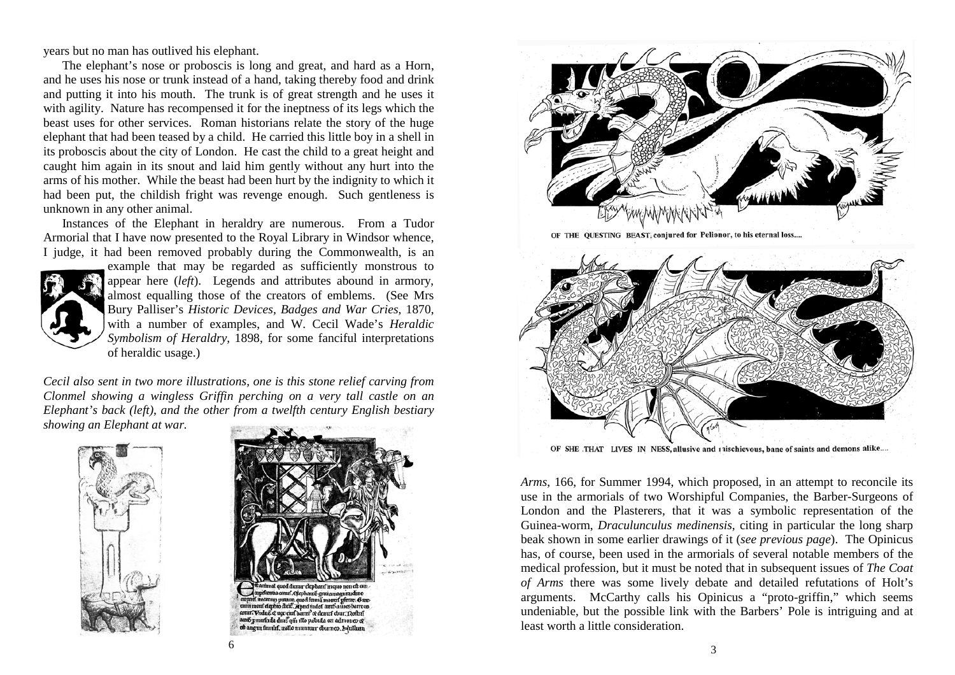years but no man has outlived his elephant.

 The elephant's nose or proboscis is long and great, and hard as a Horn, and he uses his nose or trunk instead of a hand, taking thereby food and drink and putting it into his mouth. The trunk is of great strength and he uses it with agility. Nature has recompensed it for the ineptness of its legs which the beast uses for other services. Roman historians relate the story of the huge elephant that had been teased by a child. He carried this little boy in a shell in its proboscis about the city of London. He cast the child to a great height and caught him again in its snout and laid him gently without any hurt into the arms of his mother. While the beast had been hurt by the indignity to which it had been put, the childish fright was revenge enough. Such gentleness is unknown in any other animal.

 Instances of the Elephant in heraldry are numerous. From a Tudor Armorial that I have now presented to the Royal Library in Windsor whence, I judge, it had been removed probably during the Commonwealth, is an



example that may be regarded as sufficiently monstrous to appear here (*left*). Legends and attributes abound in armory, almost equalling those of the creators of emblems. (See Mrs Bury Palliser's *Historic Devices, Badges and War Cries*, 1870, with a number of examples, and W. Cecil Wade's *Heraldic Symbolism of Heraldry*, 1898, for some fanciful interpretations of heraldic usage.)

*Cecil also sent in two more illustrations, one is this stone relief carving from Clonmel showing a wingless Griffin perching on a very tall castle on an Elephant's back (left), and the other from a twelfth century English bestiary showing an Elephant at war.* 







OF THE QUESTING BEAST, conjured for Pelionor, to his eternal loss....



OF SHE THAT LIVES IN NESS, allusive and inischievous, bane of saints and demons alike....

*Arms*, 166, for Summer 1994, which proposed, in an attempt to reconcile its use in the armorials of two Worshipful Companies, the Barber-Surgeons of London and the Plasterers, that it was a symbolic representation of the Guinea-worm, *Draculunculus medinensis*, citing in particular the long sharp beak shown in some earlier drawings of it (*see previous page*). The Opinicus has, of course, been used in the armorials of several notable members of the medical profession, but it must be noted that in subsequent issues of *The Coat of Arms* there was some lively debate and detailed refutations of Holt's arguments. McCarthy calls his Opinicus a "proto-griffin," which seems undeniable, but the possible link with the Barbers' Pole is intriguing and at least worth a little consideration.